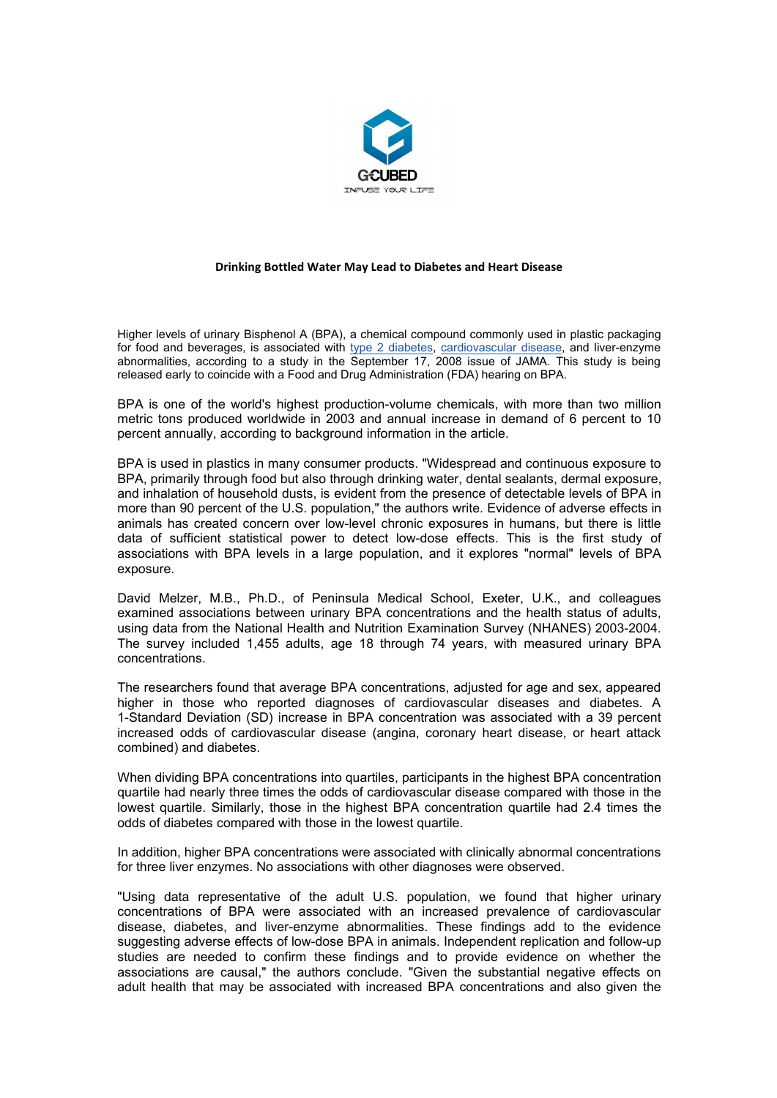

## **Drinking Bottled Water May Lead to Diabetes and Heart Disease**

Higher levels of urinary Bisphenol A (BPA), a chemical compound commonly used in plastic packaging for food and beverages, is associated with type 2 [diabetes,](http://www.musclemagfitness.com/disease-and-conditions/diabetes/) [cardiovascular](http://www.musclemagfitness.com/disease-and-conditions/cardiovascular-disease/cardiovascular-conditions-that-can-kill-you.html) disease, and liver-enzyme abnormalities, according to a study in the September 17, 2008 issue of JAMA. This study is being released early to coincide with a Food and Drug Administration (FDA) hearing on BPA.

BPA is one of the world's highest production-volume chemicals, with more than two million metric tons produced worldwide in 2003 and annual increase in demand of6 percent to 10 percent annually, according to background information in the article.

BPA is used in plastics in many consumer products. "Widespread and continuous exposure to BPA, primarily through food but also through drinking water, dental sealants, dermal exposure, and inhalation of household dusts, is evident from the presence of detectable levels of BPA in more than 90 percent of the U.S. population," the authors write. Evidence of adverse effects in animals has created concern over low-level chronic exposures in humans, but there islittle data of sufficient statistical power to detect low-dose effects. This is the first study of associations with BPA levels in a large population, and it explores "normal" levels of BPA exposure.

David Melzer, M.B., Ph.D., of Peninsula Medical School, Exeter, U.K., and colleagues examined associations between urinary BPA concentrations and the health status of adults, using data from the National Health and Nutrition Examination Survey (NHANES) 2003-2004. The survey included 1,455 adults, age 18 through 74 years, with measured urinary BPA concentrations.

The researchers found that average BPA concentrations, adjusted for age and sex, appeared higher in those who reported diagnoses of cardiovascular diseases and diabetes. A 1-Standard Deviation (SD) increase in BPA concentration was associated with a 39 percent increased odds of cardiovascular disease (angina, coronary heart disease, or heart attack combined) and diabetes.

When dividing BPA concentrations into quartiles, participants in the highest BPA concentration quartile had nearly three times the odds of cardiovascular disease compared with those in the lowest quartile. Similarly, those in the highest BPA concentration quartile had 2.4 times the odds of diabetes compared with those in the lowest quartile.

In addition, higher BPA concentrations were associated with clinically abnormal concentrations for three liver enzymes. No associations with other diagnoses were observed.

"Using data representative of the adult U.S. population, we found that higher urinary concentrations of BPA were associated with an increased prevalence of cardiovascular disease, diabetes, and liver-enzyme abnormalities. These findings add to the evidence suggesting adverse effects of low-dose BPA in animals. Independent replication and follow-up studies are needed to confirm these findings and to provide evidence on whether the associations are causal," the authors conclude. "Given the substantial negative effects on adult health that may be associated with increased BPA concentrations and also given the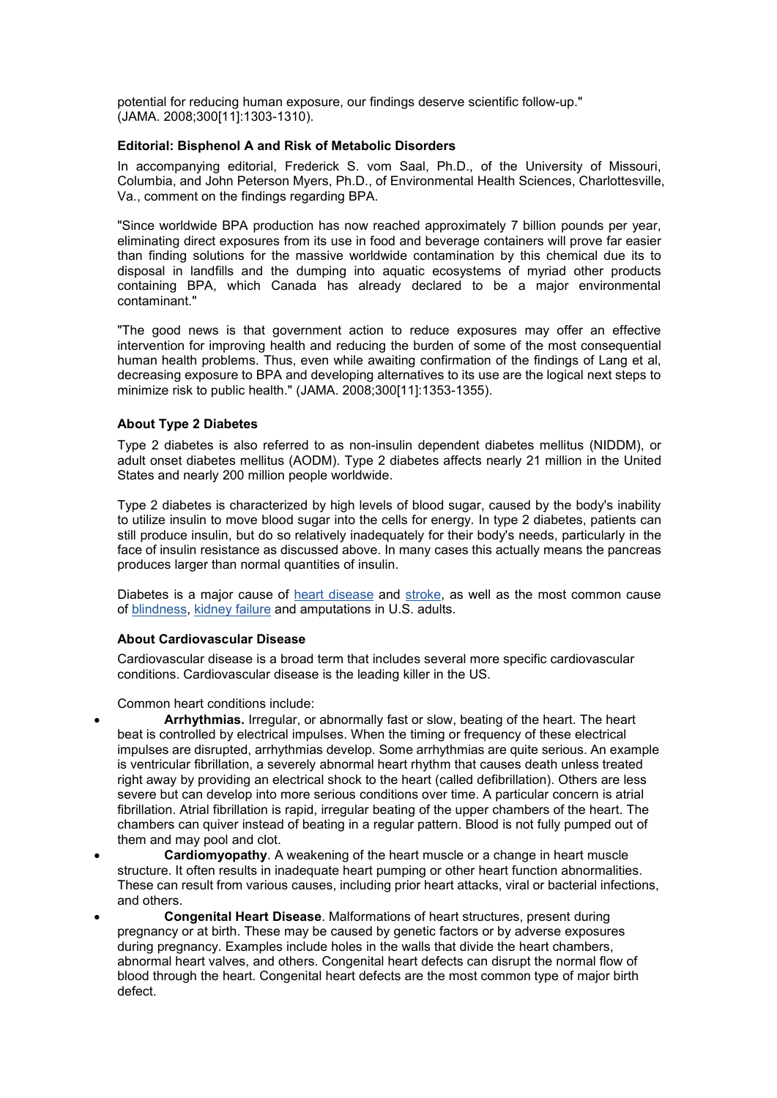potential for reducing human exposure, our findings deserve scientific follow-up." (JAMA. 2008;300[11]:1303-1310).

## **Editorial: Bisphenol A and Risk of Metabolic Disorders**

In accompanying editorial, Frederick S. vom Saal, Ph.D., of the University of Missouri, Columbia, and John Peterson Myers, Ph.D., of Environmental Health Sciences, Charlottesville, Va., comment on the findings regarding BPA.

"Since worldwide BPA production has now reached approximately 7 billion pounds per year, eliminating direct exposures from its use in food and beverage containers will prove far easier than finding solutions for the massive worldwide contamination by this chemical due its to disposal in landfills and the dumping into aquatic ecosystems of myriad other products containing BPA, which Canada has already declared to be a major environmental contaminant."

"The good news is that government action to reduce exposures may offer an effective intervention for improving health and reducing the burden of some of the most consequential human health problems. Thus, even while awaiting confirmation of the findings of Lang et al, decreasing exposure to BPA and developing alternatives to its use are the logical next steps to minimize risk to public health." (JAMA. 2008;300[11]:1353-1355).

## **About Type 2 Diabetes**

Type 2 diabetes is also referred to as non-insulin dependent diabetes mellitus (NIDDM), or adult onset diabetes mellitus (AODM). Type 2 diabetes affects nearly 21 million in the United States and nearly 200 million people worldwide.

Type 2 diabetes is characterized by high levels of blood sugar, caused by the body's inability to utilize insulin to move blood sugar into the cells for energy. In type 2 diabetes, patients can still produce insulin, but do so relatively inadequately for their body's needs, particularly in the face of insulin resistance as discussed above. In many cases this actually means the pancreas produces larger than normal quantities of insulin.

Diabetes is a major cause of heart [disease](http://www.musclemagfitness.com/content/category/42/298/895/) and [stroke](http://www.musclemagfitness.com/content/category/42/299/898/), as well as the most common cause of [blindness](http://www.musclemagfitness.com/content/category/31/384/3121/), [kidney](http://www.musclemagfitness.com/content/category/31/307/882/) failure and amputations in U.S. adults.

## **About Cardiovascular Disease**

Cardiovascular disease is a broad term that includes several more specific cardiovascular conditions. Cardiovascular disease is the leading killer in the US.

Common heart conditions include:

 **Arrhythmias.** Irregular, or abnormally fast or slow, beating of the heart. The heart beat is controlled by electrical impulses. When the timing or frequency of these electrical impulses are disrupted, arrhythmias develop. Some arrhythmias are quite serious. An example is ventricular fibrillation, a severely abnormal heart rhythm that causes death unless treated right away by providing an electrical shock to the heart (called defibrillation). Others are less severe but can develop into more serious conditions over time. A particular concern is atrial fibrillation. Atrial fibrillation is rapid, irregular beating of the upper chambers of the heart. The chambers can quiver instead of beating in a regular pattern. Blood is not fully pumped out of them and may pool and clot.

- **Cardiomyopathy**. A weakening of the heart muscle or a change in heart muscle structure. It often results in inadequate heart pumping or other heart function abnormalities. These can result from various causes, including prior heart attacks, viral or bacterial infections, and others.
- **Congenital Heart Disease**. Malformations of heart structures, present during pregnancy or at birth. These may be caused by genetic factors or by adverse exposures during pregnancy. Examples include holes in the walls that divide the heart chambers, abnormal heart valves, and others. Congenital heart defects can disrupt the normal flow of blood through the heart. Congenital heart defects are the most common type of major birth defect.